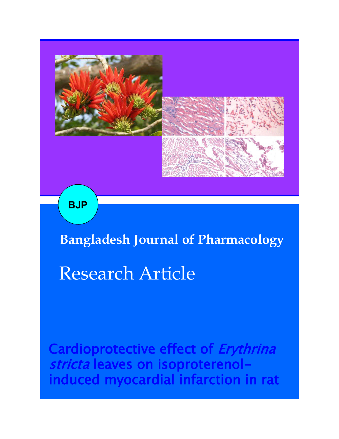

**BJP**

**Bangladesh Journal of Pharmacology** 

# Research Article

Cardioprotective effect of Erythrina stricta leaves on isoproterenolinduced myocardial infarction in rat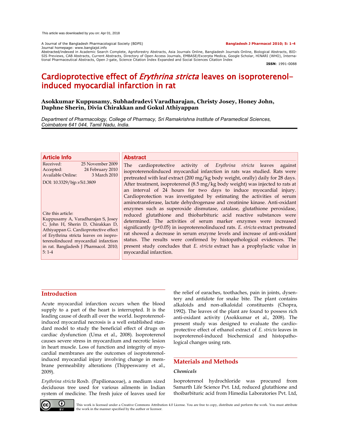A Journal of the Bangladesh Pharmacological Society (BDPS) **Bangladesh J Pharmacol 2010; 5: 1-4** Journal homepage: www.banglajol.info

Abstracted/indexed in Academic Search Complete, Agroforestry Abstracts, Asia Journals Online, Bangladesh Journals Online, Biological Abstracts, BIO-<br>SIS Previews, CAB Abstracts, Current Abstracts, Directory of Open Access tional Pharmaceutical Abstracts, Open J-gate, Science Citation Index Expanded and Social Sciences Citation Index

**ISSN**: 1991-0088

## Cardioprotective effect of *Erythrina stricta* leaves on isoproterenolinduced myocardial infarction in rat

#### **Asokkumar Kuppusamy, Subhadradevi Varadharajan, Christy Josey, Honey John, Daphne Sherin, Divia Chirakkan and Gokul Athiyappan**

*Department of Pharmacology, College of Pharmacy, Sri Ramakrishna Institute of Paramedical Sciences, Coimbatore 641 044, Tamil Nadu, India.*

| <b>Article Info</b>                                                                                                                                                                                                                                                          | <b>Abstract</b>                                                                                                                                                                                                                                                                                                                                                                                                                                                                                                                                                                                                                                             |  |  |  |
|------------------------------------------------------------------------------------------------------------------------------------------------------------------------------------------------------------------------------------------------------------------------------|-------------------------------------------------------------------------------------------------------------------------------------------------------------------------------------------------------------------------------------------------------------------------------------------------------------------------------------------------------------------------------------------------------------------------------------------------------------------------------------------------------------------------------------------------------------------------------------------------------------------------------------------------------------|--|--|--|
| Received:<br>25 November 2009<br>24 February 2010<br>Accepted:<br>Available Online:<br>3 March 2010<br>DOI: 10.3329/bjp.v5i1.3809                                                                                                                                            | cardioprotective activity of Erythrina stricta leaves against<br>The<br>isoproterenolinduced myocardial infarction in rats was studied. Rats were<br>pretreated with leaf extract (200 mg/kg body weight, orally) daily for 28 days.<br>After treatment, isoproterenol (8.5 mg/kg body weight) was injected to rats at<br>an interval of 24 hours for two days to induce myocardial injury.<br>Cardioprotection was investigated by estimating the activities of serum                                                                                                                                                                                      |  |  |  |
| Cite this article:<br>Kuppusamy A, Varadharajan S, Josey<br>C, John H, Sherin D, Chirakkan D,<br>Athiyappan G. Cardioprotective effect<br>of Erythrina stricta leaves on isopro-<br>terenolinduced myocardial infarction<br>in rat. Bangladesh J Pharmacol. 2010;<br>$5:1-4$ | aminotransferase, lactate dehydrogenase and creatinine kinase. Anti-oxidant<br>enzymes such as superoxide dismutase, catalase, glutathione peroxidase,<br>reduced glutathione and thiobarbituric acid reactive substances were<br>determined. The activities of serum marker enzymes were increased<br>significantly $(p<0.05)$ in isoproterenolinduced rats. E. stricta extract pretreated<br>rat showed a decrease in serum enzyme levels and increase of anti-oxidant<br>status. The results were confirmed by histopathological evidences. The<br>present study concludes that E. stricta extract has a prophylactic value in<br>myocardial infarction. |  |  |  |

### **Introduction**

Acute myocardial infarction occurs when the blood supply to a part of the heart is interrupted. It is the leading cause of death all over the world. Isoproterenolinduced myocardial necrosis is a well established standard model to study the beneficial effect of drugs on cardiac dysfunction (Uma et al., 2008). Isoproterenol causes severe stress in myocardium and necrotic lesion in heart muscle. Loss of function and integrity of myocardial membranes are the outcomes of isoproterenolinduced myocardial injury involving change in membrane permeability alterations (Thippeswamy et al., 2009).

*Erythrina stricta* Roxb. (Papilionaceae), a medium sized deciduous tree used for various ailments in Indian system of medicine. The fresh juice of leaves used for

the relief of earaches, toothaches, pain in joints, dysentery and antidote for snake bite. The plant contains alkaloids and non-alkaloidal constituents (Chopra, 1992). The leaves of the plant are found to possess rich anti-oxidant activity (Asokkumar et al., 2008). The present study was designed to evaluate the cardioprotective effect of ethanol extract of *E. stricta* leaves in isoproterenol-induced biochemical and histopathological changes using rats.

#### **Materials and Methods**

#### *Chemicals*

Isoproterenol hydrochloride was procured from Samarth Life Science Pvt. Ltd, reduced glutathione and thoibarbituric acid from Himedia Laboratories Pvt. Ltd,



This work is licensed under a Creative Commons Attribution 4.0 License. You are free to copy, distribute and perform the work. You must attribute the work in the manner specified by the author or licensor.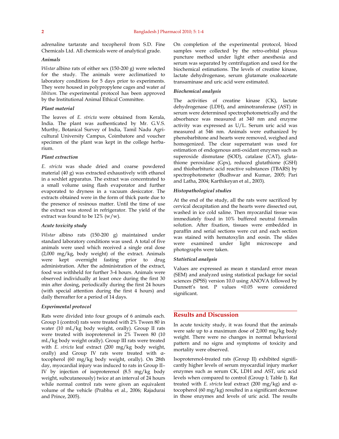adrenaline tartarate and tocopherol from S.D. Fine Chemicals Ltd. All chemicals were of analytical grade.

#### *Animals*

*Wistar* albino rats of either sex (150-200 g) were selected for the study. The animals were acclimatized to laboratory conditions for 5 days prior to experiments. They were housed in polypropylene cages and water *ad libitum.* The experimental protocol has been approved by the Institutional Animal Ethical Committee.

#### *Plant material*

The leaves of *E. stricta* were obtained from Kerala, India. The plant was authenticated by Mr. G.V.S. Murthy, Botanical Survey of India, Tamil Nadu Agricultural University Campus, Coimbatore and voucher specimen of the plant was kept in the college herbarium.

#### *Plant extraction*

*E. stricta* was shade dried and coarse powdered material (40 g) was extracted exhaustively with ethanol in a soxhlet apparatus. The extract was concentrated to a small volume using flash evaporator and further evaporated to dryness in a vacuum desiccator. The extracts obtained were in the form of thick paste due to the presence of resinous matter. Until the time of use the extract was stored in refrigerator. The yield of the extract was found to be  $12\%$  (w/w).

#### *Acute toxicity study*

*Wistar* albino rats (150-200 g) maintained under standard laboratory conditions was used. A total of five animals were used which received a single oral dose (2,000 mg/kg, body weight) of the extract. Animals were kept overnight fasting prior to drug administration. After the administration of the extract, food was withheld for further 3-4 hours. Animals were observed individually at least once during the first 30 min after dosing, periodically during the first 24 hours (with special attention during the first 4 hours) and daily thereafter for a period of 14 days.

#### *Experimental protocol*

Rats were divided into four groups of 6 animals each. Group I (control) rats were treated with 2% Tween 80 in water (10 mL/kg body weight, orally). Group II rats were treated with isoproterenol in 2% Tween 80 (10 mL/kg body weight orally). Group III rats were treated with *E. stricta* leaf extract (200 mg/kg body weight, orally) and Group IV rats were treated with αtocopherol (60 mg/kg body weight, orally). On 28th day, myocardial injury was induced to rats in Group II– IV by injection of isoproterenol (8.5 mg/kg body weight, subcutaneously) twice at an interval of 24 hours while normal control rats were given an equivalent volume of the vehicle (Prabhu et al., 2006; Rajadurai and Prince, 2005).

On completion of the experimental protocol, blood samples were collected by the retro-orbital plexus puncture method under light ether anesthesia and serum was separated by centrifugation and used for the biochemical estimations. The levels of creatine kinase, lactate dehydrogenase, serum glutamate oxaloacetate transaminase and uric acid were estimated.

#### *Biochemical analysis*

The activities of creatine kinase (CK), lactate dehydrogenase (LDH), and aminotransferase (AST) in serum were determined spectrophotometrically and the absorbance was measured at 340 nm and enzyme activity was expressed as U/L. Serum uric acid was measured at 546 nm. Animals were euthanized by phenobarbitone and hearts were removed, weighed and homogenized. The clear supernatant was used for estimation of endogenous anti-oxidant enzymes such as superoxide dismutase (SOD), catalase (CAT), glutathione peroxidase (Gpx), reduced glutathione (GSH) and thiobarbituric acid reactive substances (TBARS) by spectrophotometer (Budhwar and Kumar, 2005; Pari and Latha, 2004; Karthikeyan et al., 2003).

#### *Histopathological studies*

At the end of the study, all the rats were sacrificed by cervical decapitation and the hearts were dissected out, washed in ice cold saline. Then myocardial tissue was immediately fixed in 10% buffered neutral formalin solution. After fixation, tissues were embedded in paraffin and serial sections were cut and each section was stained with hematoxylin and eosin. The slides were examined under light microscope and photographs were taken.

#### *Statistical analysis*

Values are expressed as mean ± standard error mean (SEM) and analyzed using statistical package for social sciences (SPSS) version 10.0 using ANOVA followed by Dunnett's test. P values <0.05 were considered significant.

#### **Results and Discussion**

In acute toxicity study, it was found that the animals were safe up to a maximum dose of 2,000 mg/kg body weight. There were no changes in normal behavioral pattern and no signs and symptoms of toxicity and mortality were observed.

Isoproterenol-treated rats (Group II) exhibited significantly higher levels of serum myocardial injury marker enzymes such as serum CK, LDH and AST, uric acid levels when compared to control (Group I; Table I). Rat treated with *E. stricta* leaf extract (200 mg/kg) and αtocopherol (60 mg/kg) resulted in a significant decrease in those enzymes and levels of uric acid. The results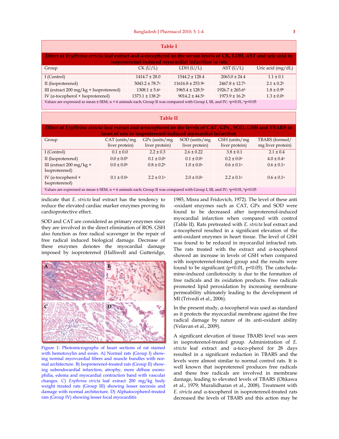| <b>Table I</b>                                                                                                                                                        |                                   |                                    |                                    |                                  |                                     |  |  |
|-----------------------------------------------------------------------------------------------------------------------------------------------------------------------|-----------------------------------|------------------------------------|------------------------------------|----------------------------------|-------------------------------------|--|--|
| Effect of Erythrina stricta leaf extract and a-tocopherol on the serum levels of CK, LDH, AST and uric acid in<br>isoproterenol-induced myocardial infarction in rats |                                   |                                    |                                    |                                  |                                     |  |  |
| Group                                                                                                                                                                 |                                   | $CK$ (U/L)                         | LDH (U/L)                          | AST (U/L)                        | Uric acid (mg/dL)                   |  |  |
| I (Control)                                                                                                                                                           |                                   | $1414.7 \pm 28.0$                  | $1544.2 \pm 128.4$                 | $2063.0 \pm 24.4$                | $1.1 \pm 0.1$                       |  |  |
| II (Isoproterenol)                                                                                                                                                    |                                   | $5043.2 \pm 78.7$ <sup>a</sup>     | $11616.8 \pm 253.9$ <sup>a</sup>   | $2467.8 \pm 12.7$                | $2.1 \pm 0.2$                       |  |  |
| III (extract 200 mg/kg + Isoproterenol)                                                                                                                               |                                   | $1308.1 \pm 5.6^{\circ}$           | $1965.4 \pm 128.5$ <sup>a</sup>    | $1926.7 \pm 265.6$               | $1.8 \pm 0.9$                       |  |  |
| IV (α-tocopherol + Isoproterenol)                                                                                                                                     |                                   | $1373.1 \pm 138.2$                 | $9014.2 \pm 44.5$                  | $1973.9 \pm 16.2$                | $1.3 \pm 0.0$                       |  |  |
| Values are expressed as mean ± SEM, n = 6 animals each; Group II was compared with Group I, III, and IV; ap<0.01, bp<0.05                                             |                                   |                                    |                                    |                                  |                                     |  |  |
|                                                                                                                                                                       |                                   |                                    |                                    |                                  |                                     |  |  |
| <b>Table II</b>                                                                                                                                                       |                                   |                                    |                                    |                                  |                                     |  |  |
| Effect of Erythrina stricta leaf extract and $\alpha$ -tocopherol on the levels of CAT, GPx, SOD, GSH and TBARS in                                                    |                                   |                                    |                                    |                                  |                                     |  |  |
| heart of rats in isoproterenol-induced myocardial infarction                                                                                                          |                                   |                                    |                                    |                                  |                                     |  |  |
| Group                                                                                                                                                                 | $CAT$ (units/mg<br>liver protein) | $GPx$ (units/mg)<br>liver protein) | $SOD$ (units/mg)<br>liver protein) | GSH (units/mg)<br>liver protein) | TBARS (formed/<br>mg liver protein) |  |  |
| I (Control)                                                                                                                                                           | $0.1 \pm 0.0$                     | $2.2 \pm 0.3$                      | $2.6 \pm 0.22$                     | $3.8 \pm 0.1$                    | $21 + 04$                           |  |  |
| II (Isoproterenol)                                                                                                                                                    | $0.0 \pm 0.0$                     | $0.1 \pm 0.0^{\circ}$              | $0.1 \pm 0.0^{\circ}$              | $0.2 \pm 0.0^{\circ}$            | $4.0 \pm 0.4^{\text{a}}$            |  |  |
| III (extract $200$ mg/kg +<br>Isoproterenol)                                                                                                                          | $0.0 \pm 0.0^{\rm b}$             | $0.8 \pm 0.2$                      | $1.0 \pm 0.0^{\circ}$              | $0.6 \pm 0.1$ <sup>a</sup>       | $0.6 \pm 0.1a$                      |  |  |
| IV ( $\alpha$ -tocopherol +<br>Isoproterenol)                                                                                                                         | $0.1 \pm 0.0^{\text{a}}$          | $2.2 \pm 0.1a$                     | $2.0 \pm 0.0^{\text{a}}$           | $2.2 \pm 0.1a$                   | $0.6 \pm 0.1$ <sup>a</sup>          |  |  |
| Values are expressed as mean ± SEM, n = 6 animals each; Group II was compared with Group I, III, and IV; ap<0.01, bp<0.05                                             |                                   |                                    |                                    |                                  |                                     |  |  |

indicate that *E. stricta* leaf extract has the tendency to reduce the elevated cardiac marker enzymes proving its cardioprotective effect.

SOD and CAT are considered as primary enzymes since they are involved in the direct elimination of ROS. GSH also function as free radical scavenger in the repair of free radical induced biological damage. Decrease of these enzymes denotes the myocardial damage imposed by isoproterenol (Halliwell and Gutteridge,



Figure 1: Photomicrographs of heart sections of rat stained with hemotoxylin and eosin. A) Normal rats (Group I) showing normal myovcardial fibers and muscle bundles with normal architecture. B) Isoproterenol-treated rats (Group II) showing subendocardial infarction, atrophy, more diffuse esonophilia, edema and myocardial contraction band with vascular changes. C) *Erythrina stricta* leaf extract 200 mg/kg body weight treated rats (Group III) showing lesser necrosis and damage with normal architecture. D) Alphatocopherol-treated rats (Group IV) showing lesser focal myocarditis

1985, Misra and Fridovich, 1972). The level of these anti -oxidant enzymes such as CAT, GPx and SOD were found to be decreased after isoproterenol-induced myocardial infarction when compared with control (Table II). Rats pretreated with *E. stricta* leaf extract and α-tocopherol resulted in a significant elevation of the anti-oxidant enzymes in heart tissue. The level of GSH was found to be reduced in myocardial infracted rats. The rats treated with the extract and α-tocopherol showed an increase in levels of GSH when compared with isoproterenol-treated group and the results were found to be significant ( $p$ <0.01,  $p$ <0.05). The catecholamine-induced cardiotoxicity is due to the formation of free radicals and its oxidation products. Free radicals promoted lipid peroxidation by increasing membrane permeability ultimately leading to the development of MI (Trivedi et al., 2006).

In the present study, α-tocopherol was used as standard as it protects the myocardial membrane against the free radical damage by nature of its anti-oxidant ability (Velavan et al., 2009).

A significant elevation of tissue TBARS level was seen in isoproterenol-treated group. Administration of *E. stricta* leaf extract and α-toco-pherol for 28 days resulted in a significant reduction in TBARS and the levels were almost similar to normal control rats. It is well known that isoproterenol produces free radicals and these free radicals are involved in membrane damage, leading to elevated levels of TBARS (Ohkawa et al., 1979; Muralidharan et al., 2008). Treatment with *E. stricta* and α-tocopherol in isoproterenol-treated rats decreased the levels of TBARS and this action may be